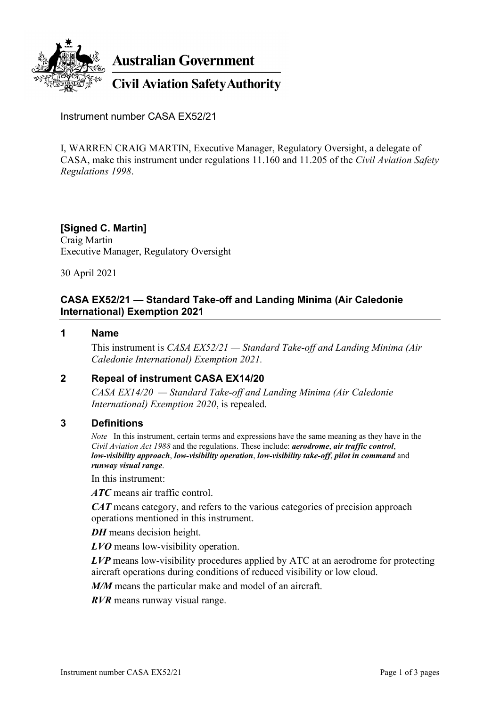

Instrument number CASA EX52/21

I, WARREN CRAIG MARTIN, Executive Manager, Regulatory Oversight, a delegate of CASA, make this instrument under regulations 11.160 and 11.205 of the *Civil Aviation Safety Regulations 1998*.

#### **[Signed C. Martin]** Craig Martin

Executive Manager, Regulatory Oversight

30 April 2021

## **CASA EX52/21 — Standard Take-off and Landing Minima (Air Caledonie International) Exemption 2021**

#### **1 Name**

This instrument is *CASA EX52/21 — Standard Take-off and Landing Minima (Air Caledonie International) Exemption 2021.*

### **2 Repeal of instrument CASA EX14/20**

*CASA EX14/20 — Standard Take-off and Landing Minima (Air Caledonie International) Exemption 2020*, is repealed.

#### **3 Definitions**

*Note* In this instrument, certain terms and expressions have the same meaning as they have in the *Civil Aviation Act 1988* and the regulations. These include: *aerodrome*, *air traffic control*, *low-visibility approach*, *low-visibility operation*, *low-visibility take-off*, *pilot in command* and *runway visual range*.

In this instrument:

*ATC* means air traffic control.

*CAT* means category, and refers to the various categories of precision approach operations mentioned in this instrument.

*DH* means decision height.

*LVO* means low-visibility operation.

*LVP* means low-visibility procedures applied by ATC at an aerodrome for protecting aircraft operations during conditions of reduced visibility or low cloud.

*M/M* means the particular make and model of an aircraft.

*RVR* means runway visual range.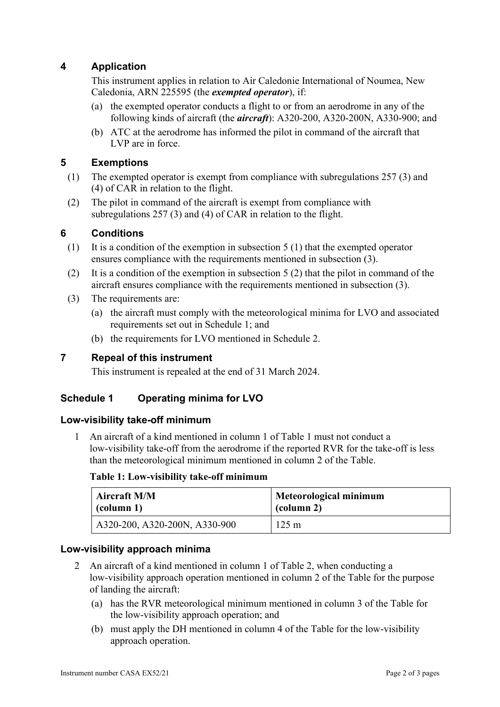# **4 Application**

This instrument applies in relation to Air Caledonie International of Noumea, New Caledonia, ARN 225595 (the *exempted operator*), if:

- (a) the exempted operator conducts a flight to or from an aerodrome in any of the following kinds of aircraft (the *aircraft*): A320-200, A320-200N, A330-900; and
- (b) ATC at the aerodrome has informed the pilot in command of the aircraft that LVP are in force.

### **5 Exemptions**

- (1) The exempted operator is exempt from compliance with subregulations 257 (3) and (4) of CAR in relation to the flight.
- (2) The pilot in command of the aircraft is exempt from compliance with subregulations 257 (3) and (4) of CAR in relation to the flight.

### **6 Conditions**

- (1) It is a condition of the exemption in subsection 5 (1) that the exempted operator ensures compliance with the requirements mentioned in subsection (3).
- (2) It is a condition of the exemption in subsection 5 (2) that the pilot in command of the aircraft ensures compliance with the requirements mentioned in subsection (3).
- (3) The requirements are:
	- (a) the aircraft must comply with the meteorological minima for LVO and associated requirements set out in Schedule 1; and
	- (b) the requirements for LVO mentioned in Schedule 2.

## **7 Repeal of this instrument**

This instrument is repealed at the end of 31 March 2024.

### **Schedule 1 Operating minima for LVO**

#### **Low-visibility take-off minimum**

1 An aircraft of a kind mentioned in column 1 of Table 1 must not conduct a low-visibility take-off from the aerodrome if the reported RVR for the take-off is less than the meteorological minimum mentioned in column 2 of the Table.

#### **Table 1: Low-visibility take-off minimum**

| <b>Aircraft M/M</b>           | Meteorological minimum |
|-------------------------------|------------------------|
| $\vert$ (column 1)            | (column 2)             |
| A320-200, A320-200N, A330-900 | $125 \text{ m}$        |

#### **Low-visibility approach minima**

- 2 An aircraft of a kind mentioned in column 1 of Table 2, when conducting a low-visibility approach operation mentioned in column 2 of the Table for the purpose of landing the aircraft:
	- (a) has the RVR meteorological minimum mentioned in column 3 of the Table for the low-visibility approach operation; and
	- (b) must apply the DH mentioned in column 4 of the Table for the low-visibility approach operation.